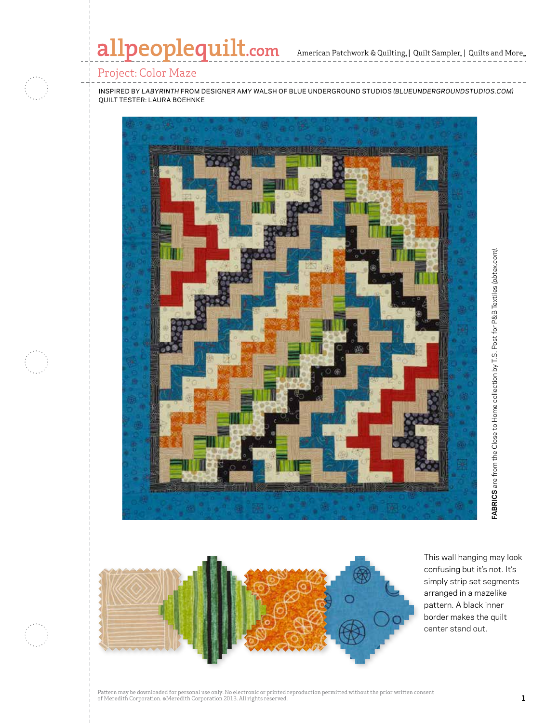# allpeoplequilt.com

American Patchwork & Quilting,  $|$  Quilt Sampler,  $|$  Quilts and More,

## Project: Color Maze

inspired by *labyrinth* from designer amy walsh of blue underground studios *(blueundergroundstudios.com)* quilt tester: Laura boehnke





This wall hanging may look confusing but it's not. It's simply strip set segments arranged in a mazelike pattern. A black inner border makes the quilt center stand out.

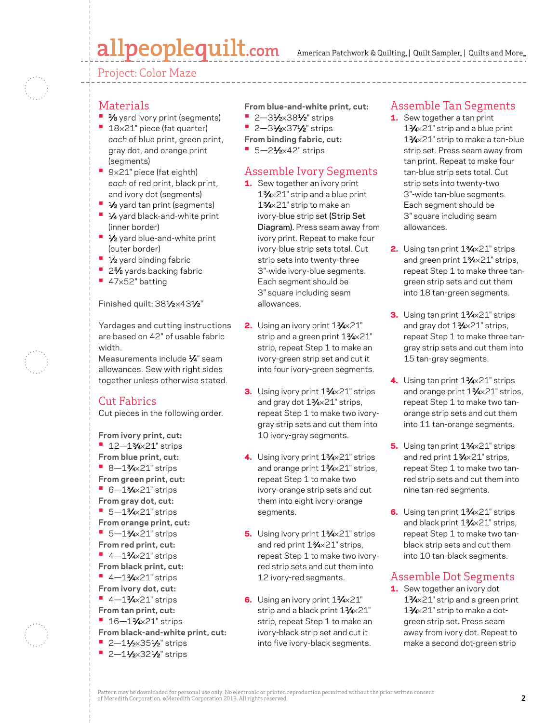# allpeoplequilt.com

American Patchwork & Quilting, | Quilt Sampler, | Quilts and More...

Project: Color Maze

- Materials
- **•** 3/8 yard ivory print (segments)
- **•** <sup>18</sup>×21" piece (fat quarter) *each* of blue print, green print, gray dot, and orange print (segments)
- **•** <sup>9</sup>×21" piece (fat eighth) *each* of red print, black print, and ivory dot (segments)
- **•** 1⁄2 yard tan print (segments)
- **•** 1⁄4 yard black-and-white print (inner border)
- **•** 1⁄2 yard blue-and-white print (outer border)
- **•** 1⁄2 yard binding fabric
- **•** 25⁄8 yards backing fabric
- **•** <sup>47</sup>×52" batting

#### Finished quilt: 381/2×431/2"

Yardages and cutting instructions are based on 42" of usable fabric width.

Measurements include 1⁄4" seam allowances. Sew with right sides together unless otherwise stated.

### Cut Fabrics

Cut pieces in the following order.

**From ivory print, cut: •** 12—13⁄4×21" strips **From blue print, cut: •** 8—13⁄4×21" strips **From green print, cut: •** 6—13⁄4×21" strips **From gray dot, cut: •** 5—13⁄4×21" strips **From orange print, cut: •** 5—13⁄4×21" strips **From red print, cut: •** 4—13⁄4×21" strips **From black print, cut: •** 4—13⁄4×21" strips **From ivory dot, cut: •** 4—13⁄4×21" strips **From tan print, cut: •** 16—13⁄4×21" strips **From black-and-white print, cut: •** 2—11⁄2×351⁄2" strips

**•** 2-11/2×321/2" strips

**From blue-and-white print, cut:**

- **•** 2—31⁄2×381⁄2" strips
- **•** 2—31⁄2×371⁄2" strips
- **From binding fabric, cut:**
- **•** 5—21⁄2×42" strips

# Assemble Ivory Segments

- 1. Sew together an ivory print 13⁄4×21" strip and a blue print 13⁄4×21" strip to make an ivory-blue strip set (Strip Set Diagram). Press seam away from ivory print. Repeat to make four ivory-blue strip sets total. Cut strip sets into twenty-three 3"-wide ivory-blue segments. Each segment should be 3" square including seam allowances.
- 2. Using an ivory print 1<sup>3</sup>/<sub>4×</sub>21" strip and a green print 13/4×21" strip, repeat Step 1 to make an ivory-green strip set and cut it into four ivory-green segments.
- 3. Using ivory print 13/4×21" strips and gray dot 13⁄4×21" strips, repeat Step 1 to make two ivorygray strip sets and cut them into 10 ivory-gray segments.
- 4. Using ivory print 13/4×21" strips and orange print 13/4×21" strips, repeat Step 1 to make two ivory-orange strip sets and cut them into eight ivory-orange segments.
- 5. Using ivory print 1<sup>3</sup>/<sub>4</sub>×21" strips and red print 13⁄4×21" strips, repeat Step 1 to make two ivoryred strip sets and cut them into 12 ivory-red segments.
- 6. Using an ivory print 1<sup>3</sup>/<sub>4</sub>×21" strip and a black print 13/4×21" strip, repeat Step 1 to make an ivory-black strip set and cut it into five ivory-black segments.

## Assemble Tan Segments

- 1. Sew together a tan print 13⁄4×21" strip and a blue print 13⁄4×21" strip to make a tan-blue strip set. Press seam away from tan print. Repeat to make four tan-blue strip sets total. Cut strip sets into twenty-two 3"-wide tan-blue segments. Each segment should be 3" square including seam allowances.
- 2. Using tan print 1<sup>3</sup>/<sub>4</sub>×21" strips and green print 13⁄4×21" strips, repeat Step 1 to make three tangreen strip sets and cut them into 18 tan-green segments.
- 3. Using tan print 13/4×21" strips and gray dot 13⁄4×21" strips, repeat Step 1 to make three tangray strip sets and cut them into 15 tan-gray segments.
- 4. Using tan print 1<sup>3</sup>/<sub>4</sub>×21" strips and orange print 13/4×21" strips, repeat Step 1 to make two tanorange strip sets and cut them into 11 tan-orange segments.
- 5. Using tan print 1<sup>3</sup>/<sub>4</sub>×21" strips and red print 13⁄4×21" strips, repeat Step 1 to make two tanred strip sets and cut them into nine tan-red segments.
- 6. Using tan print 1<sup>3</sup>/<sub>4</sub>×21" strips and black print 13/4×21" strips, repeat Step 1 to make two tanblack strip sets and cut them into 10 tan-black segments.

### Assemble Dot Segments

1. Sew together an ivory dot 13⁄4×21" strip and a green print 13⁄4×21" strip to make a dotgreen strip set. Press seam away from ivory dot. Repeat to make a second dot-green strip

Pattern may be downloaded for personal use only. No electronic or printed reproduction permitted without the prior written consent of Meredith Corporation. ©Meredith Corporation 2013. All rights reserved. **2**